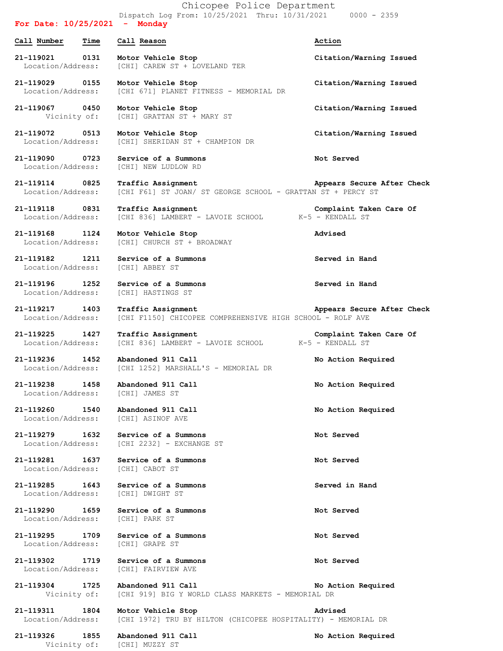Dispatch Log From: 10/25/2021 Thru: 10/31/2021 0000 - 2359 **For Date: 10/25/2021 - Monday Call Number Time Call Reason Action 21-119021 0131 Motor Vehicle Stop Citation/Warning Issued** Location/Address: [CHI] CAREW ST + LOVELAND TER **21-119029 0155 Motor Vehicle Stop Citation/Warning Issued** Location/Address: [CHI 671] PLANET FITNESS - MEMORIAL DR **21-119067 0450 Motor Vehicle Stop Citation/Warning Issued** Vicinity of: [CHI] GRATTAN ST + MARY ST **21-119072 0513 Motor Vehicle Stop Citation/Warning Issued** Location/Address: [CHI] SHERIDAN ST + CHAMPION DR **21-119090 0723 Service of a Summons Not Served** Location/Address: [CHI] NEW LUDLOW RD **21-119114 0825 Traffic Assignment Appears Secure After Check** Location/Address: [CHI F61] ST JOAN/ ST GEORGE SCHOOL - GRATTAN ST + PERCY ST **21-119118 0831 Traffic Assignment Complaint Taken Care Of** Location/Address: [CHI 836] LAMBERT - LAVOIE SCHOOL K-5 - KENDALL ST **21-119168 1124 Motor Vehicle Stop Advised** Location/Address: [CHI] CHURCH ST + BROADWAY **21-119182 1211 Service of a Summons Served in Hand** Location/Address: [CHI] ABBEY ST **21-119196 1252 Service of a Summons Served in Hand** Location/Address: [CHI] HASTINGS ST **21-119217 1403 Traffic Assignment Appears Secure After Check** Location/Address: [CHI F1150] CHICOPEE COMPREHENSIVE HIGH SCHOOL - ROLF AVE **21-119225 1427 Traffic Assignment Complaint Taken Care Of** Location/Address: [CHI 836] LAMBERT - LAVOIE SCHOOL K-5 - KENDALL ST **21-119236 1452 Abandoned 911 Call No Action Required** Location/Address: [CHI 1252] MARSHALL'S - MEMORIAL DR **21-119238 1458 Abandoned 911 Call No Action Required** Location/Address: [CHI] JAMES ST **21-119260 1540 Abandoned 911 Call No Action Required** Location/Address: [CHI] ASINOF AVE **21-119279 1632 Service of a Summons Not Served** Location/Address: [CHI 2232] - EXCHANGE ST **21-119281 1637 Service of a Summons Not Served** Location/Address: [CHI] CABOT ST **21-119285 1643 Service of a Summons Served in Hand** Location/Address: [CHI] DWIGHT ST **21-119290 1659 Service of a Summons Not Served** Location/Address: [CHI] PARK ST **21-119295 1709 Service of a Summons Not Served** Location/Address: [CHI] GRAPE ST **21-119302 1719 Service of a Summons Not Served** Location/Address: [CHI] FAIRVIEW AVE **21-119304 1725 Abandoned 911 Call No Action Required** Vicinity of: [CHI 919] BIG Y WORLD CLASS MARKETS - MEMORIAL DR **21-119311 1804 Motor Vehicle Stop Advised** Location/Address: [CHI 1972] TRU BY HILTON (CHICOPEE HOSPITALITY) - MEMORIAL DR **21-119326 1855 Abandoned 911 Call No Action Required**

Vicinity of: [CHI] MUZZY ST

Chicopee Police Department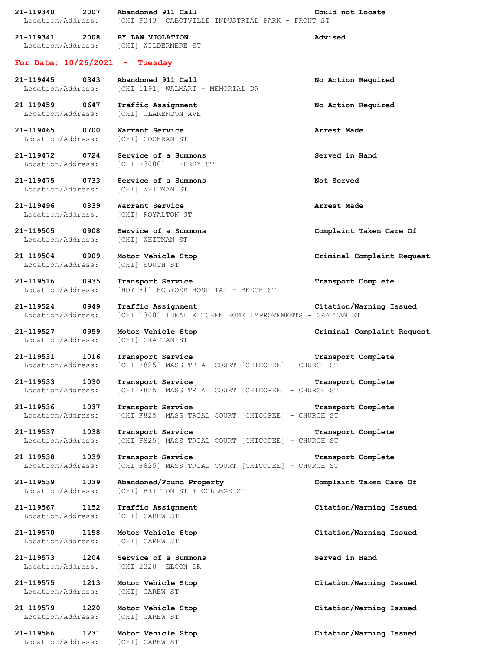**21-119341 2008 BY LAW VIOLATION Advised** Location/Address: [CHI] WILDERMERE ST **For Date: 10/26/2021 - Tuesday 21-119445 0343 Abandoned 911 Call No Action Required** Location/Address: [CHI 1191] WALMART - MEMORIAL DR **21-119459 0647 Traffic Assignment No Action Required** Location/Address: [CHI] CLARENDON AVE **21-119465 0700 Warrant Service Arrest Made** Location/Address: [CHI] COCHRAN ST **21-119472 0724 Service of a Summons Served in Hand** Location/Address: [CHI F3000] - FERRY ST **21-119475 0733 Service of a Summons Not Served** Location/Address: [CHI] WHITMAN ST **21-119496 0839 Warrant Service Arrest Made** Location/Address: [CHI] ROYALTON ST **21-119505 0908 Service of a Summons Complaint Taken Care Of** Location/Address: [CHI] WHITMAN ST **21-119504 0909 Motor Vehicle Stop Criminal Complaint Request** Location/Address: [CHI] SOUTH ST **21-119516 0935 Transport Service Transport Complete** Location/Address: [HOY F1] HOLYOKE HOSPITAL - BEECH ST **21-119524 0949 Traffic Assignment Citation/Warning Issued** Location/Address: [CHI 1308] IDEAL KITCHEN HOME IMPROVEMENTS - GRATTAN ST **21-119527 0959 Motor Vehicle Stop Criminal Complaint Request** Location/Address: [CHI] GRATTAN ST **21-119531 1016 Transport Service Transport Complete** Location/Address: [CHI F825] MASS TRIAL COURT [CHICOPEE] - CHURCH ST **21-119533 1030 Transport Service Transport Complete** Location/Address: [CHI F825] MASS TRIAL COURT [CHICOPEE] - CHURCH ST **21-119536 1037 Transport Service Transport Complete** Location/Address: [CHI F825] MASS TRIAL COURT [CHICOPEE] - CHURCH ST **21-119537 1038 Transport Service Transport Complete** Location/Address: [CHI F825] MASS TRIAL COURT [CHICOPEE] - CHURCH ST **21-119538 1039 Transport Service Transport Complete** Location/Address: [CHI F825] MASS TRIAL COURT [CHICOPEE] - CHURCH ST **21-119539 1039 Abandoned/Found Property Complaint Taken Care Of** Location/Address: [CHI] BRITTON ST + COLLEGE ST **21-119567 1152 Traffic Assignment Citation/Warning Issued** Location/Address: [CHI] CAREW ST **21-119570 1158 Motor Vehicle Stop Citation/Warning Issued** Location/Address: [CHI] CAREW ST **21-119573 1204 Service of a Summons Served in Hand** Location/Address: [CHI 2328] ELCON DR **21-119575 1213 Motor Vehicle Stop Citation/Warning Issued** Location/Address: [CHI] CAREW ST **21-119579 1220 Motor Vehicle Stop Citation/Warning Issued** Location/Address: [CHI] CAREW ST **21-119586 1231 Motor Vehicle Stop Citation/Warning Issued** Location/Address: [CHI] CAREW ST

**21-119340 2007 Abandoned 911 Call Could not Locate**

Location/Address: [CHI F343] CABOTVILLE INDUSTRIAL PARK - FRONT ST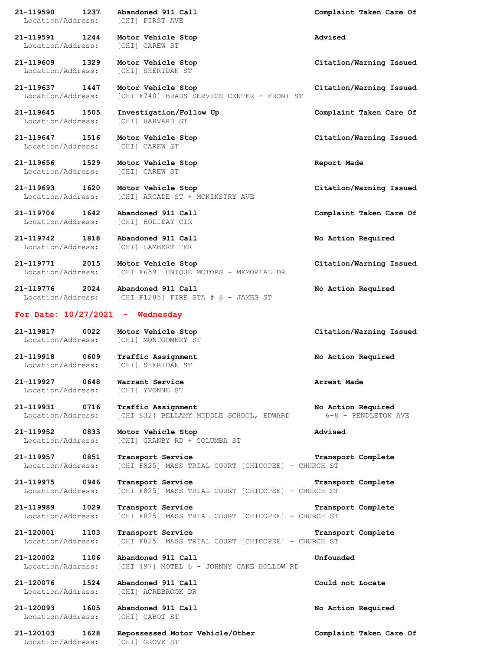**21-119590 1237 Abandoned 911 Call Complaint Taken Care Of** Location/Address: [CHI] FIRST AVE **21-119591 1244 Motor Vehicle Stop Advised** Location/Address: [CHI] CAREW ST **21-119609 1329 Motor Vehicle Stop Citation/Warning Issued** Location/Address: [CHI] SHERIDAN ST **21-119637 1447 Motor Vehicle Stop Citation/Warning Issued** Location/Address: [CHI F740] BRADS SERVICE CENTER - FRONT ST **21-119645 1505 Investigation/Follow Up Complaint Taken Care Of** Location/Address: [CHI] HARVARD ST **21-119647 1516 Motor Vehicle Stop Citation/Warning Issued** Location/Address: [CHI] CAREW ST **21-119656 1529 Motor Vehicle Stop Report Made** Location/Address: [CHI] CAREW ST **21-119693 1620 Motor Vehicle Stop Citation/Warning Issued** Location/Address: [CHI] ARCADE ST + MCKINSTRY AVE **21-119704 1642 Abandoned 911 Call Complaint Taken Care Of** Location/Address: [CHI] HOLIDAY CIR **21-119742 1818 Abandoned 911 Call No Action Required** Location/Address: [CHI] LAMBERT TER **21-119771 2015 Motor Vehicle Stop Citation/Warning Issued** Location/Address: [CHI F659] UNIQUE MOTORS - MEMORIAL DR **21-119776 2024 Abandoned 911 Call No Action Required** Location/Address: [CHI F1285] FIRE STA # 8 - JAMES ST **For Date: 10/27/2021 - Wednesday 21-119817 0022 Motor Vehicle Stop Citation/Warning Issued** Location/Address: [CHI] MONTGOMERY ST **21-119918 0609 Traffic Assignment No Action Required** Location/Address: [CHI] SHERIDAN ST **21-119927 0648 Warrant Service Arrest Made** Location/Address: [CHI] YVONNE ST **21-119931 0716 Traffic Assignment No Action Required** Location/Address: [CHI 832] BELLAMY MIDDLE SCHOOL, EDWARD 6-8 - PENDLETON AVE **21-119952 0833 Motor Vehicle Stop Advised** Location/Address: [CHI] GRANBY RD + COLUMBA ST **21-119957 0851 Transport Service Transport Complete** Location/Address: [CHI F825] MASS TRIAL COURT [CHICOPEE] - CHURCH ST **21-119975 0946 Transport Service Transport Complete** Location/Address: [CHI F825] MASS TRIAL COURT [CHICOPEE] - CHURCH ST **21-119989 1029 Transport Service Transport Complete** Location/Address: [CHI F825] MASS TRIAL COURT [CHICOPEE] - CHURCH ST **21-120001 1103 Transport Service Transport Complete** Location/Address: [CHI F825] MASS TRIAL COURT [CHICOPEE] - CHURCH ST **21-120002 1106 Abandoned 911 Call Unfounded** Location/Address: [CHI 497] MOTEL 6 - JOHNNY CAKE HOLLOW RD **21-120076 1524 Abandoned 911 Call Could not Locate** Location/Address: [CHI] ACREBROOK DR **21-120093 1605 Abandoned 911 Call No Action Required** Location/Address: [CHI] CABOT ST

Location/Address: [CHI] GROVE ST

**21-120103 1628 Repossessed Motor Vehicle/Other Complaint Taken Care Of**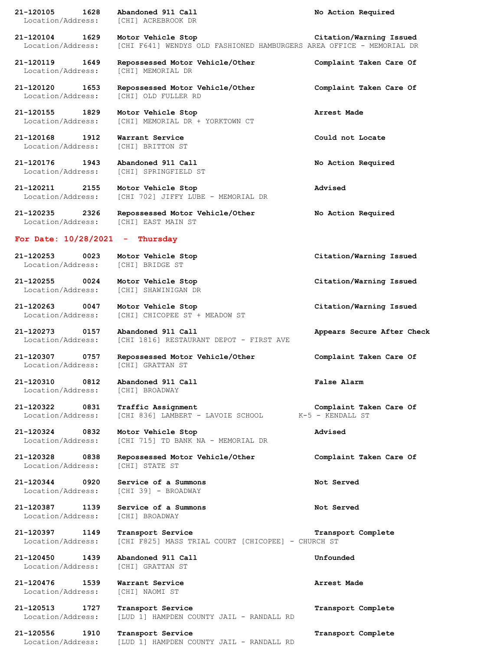| 21-120105<br>1628<br>Location/Address: | Abandoned 911 Call<br>[CHI] ACREBROOK DR                                                   | No Action Required                          |
|----------------------------------------|--------------------------------------------------------------------------------------------|---------------------------------------------|
|                                        |                                                                                            |                                             |
| 21-120104<br>1629<br>Location/Address: | Motor Vehicle Stop<br>[CHI F641] WENDYS OLD FASHIONED HAMBURGERS AREA OFFICE - MEMORIAL DR | Citation/Warning Issued                     |
| 21-120119<br>1649<br>Location/Address: | Repossessed Motor Vehicle/Other<br>[CHI] MEMORIAL DR                                       | Complaint Taken Care Of                     |
| 21-120120<br>1653<br>Location/Address: | Repossessed Motor Vehicle/Other<br>[CHI] OLD FULLER RD                                     | Complaint Taken Care Of                     |
| 21-120155<br>1829<br>Location/Address: | Motor Vehicle Stop<br>[CHI] MEMORIAL DR + YORKTOWN CT                                      | Arrest Made                                 |
| 21-120168<br>1912<br>Location/Address: | Warrant Service<br>[CHI] BRITTON ST                                                        | Could not Locate                            |
| 21-120176<br>1943<br>Location/Address: | Abandoned 911 Call<br>[CHI] SPRINGFIELD ST                                                 | No Action Required                          |
| 21-120211 2155<br>Location/Address:    | Motor Vehicle Stop<br>[CHI 702] JIFFY LUBE - MEMORIAL DR                                   | Advised                                     |
| 21-120235<br>2326<br>Location/Address: | Repossessed Motor Vehicle/Other<br>[CHI] EAST MAIN ST                                      | No Action Required                          |
| For Date: $10/28/2021$                 | Thursday<br>÷                                                                              |                                             |
| 21-120253<br>0023<br>Location/Address: | Motor Vehicle Stop<br>[CHI] BRIDGE ST                                                      | Citation/Warning Issued                     |
| 21-120255<br>0024<br>Location/Address: | Motor Vehicle Stop<br>[CHI] SHAWINIGAN DR                                                  | Citation/Warning Issued                     |
| 21-120263<br>0047<br>Location/Address: | Motor Vehicle Stop<br>[CHI] CHICOPEE ST + MEADOW ST                                        | Citation/Warning Issued                     |
| 21-120273<br>0157<br>Location/Address: | Abandoned 911 Call<br>[CHI 1816] RESTAURANT DEPOT - FIRST AVE                              | Appears Secure After Check                  |
| 21-120307<br>0757<br>Location/Address: | Repossessed Motor Vehicle/Other<br>[CHI] GRATTAN ST                                        | Complaint Taken Care Of                     |
| 21-120310<br>0812<br>Location/Address: | Abandoned 911 Call<br>[CHI] BROADWAY                                                       | False Alarm                                 |
| 21-120322<br>0831<br>Location/Address: | Traffic Assignment<br>[CHI 836] LAMBERT - LAVOIE SCHOOL                                    | Complaint Taken Care Of<br>K-5 - KENDALL ST |
| 21-120324 0832<br>Location/Address:    | Motor Vehicle Stop<br>[CHI 715] TD BANK NA - MEMORIAL DR                                   | Advised                                     |
| 21-120328<br>0838<br>Location/Address: | Repossessed Motor Vehicle/Other<br>[CHI] STATE ST                                          | Complaint Taken Care Of                     |
| 21-120344 0920<br>Location/Address:    | Service of a Summons<br>[CHI 39] - BROADWAY                                                | Not Served                                  |
| 21-120387 1139<br>Location/Address:    | Service of a Summons<br>[CHI] BROADWAY                                                     | Not Served                                  |
| 21-120397 1149<br>Location/Address:    | Transport Service<br>[CHI F825] MASS TRIAL COURT [CHICOPEE] - CHURCH ST                    | Transport Complete                          |
| 21-120450 1439<br>Location/Address:    | Abandoned 911 Call<br>[CHI] GRATTAN ST                                                     | Unfounded                                   |
| 21-120476<br>1539<br>Location/Address: | Warrant Service<br>[CHI] NAOMI ST                                                          | Arrest Made                                 |
| 21-120513<br>1727<br>Location/Address: | Transport Service<br>[LUD 1] HAMPDEN COUNTY JAIL - RANDALL RD                              | Transport Complete                          |
| 21-120556<br>1910<br>Location/Address: | Transport Service<br>[LUD 1] HAMPDEN COUNTY JAIL - RANDALL RD                              | Transport Complete                          |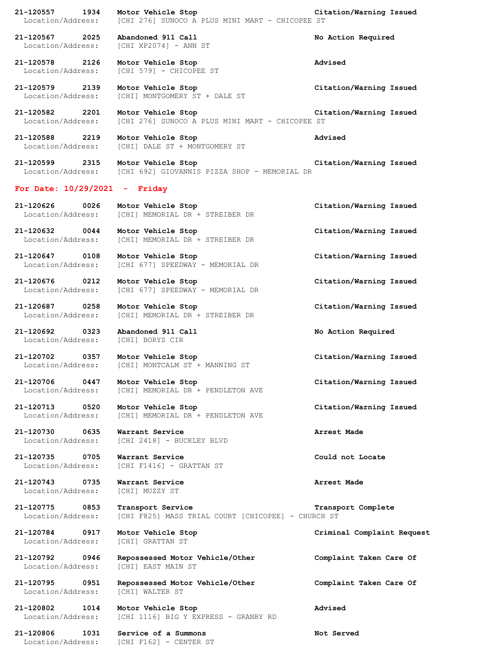**21-120557 1934 Motor Vehicle Stop Citation/Warning Issued** Location/Address: [CHI 276] SUNOCO A PLUS MINI MART - CHICOPEE ST **21-120567 2025 Abandoned 911 Call No Action Required** Location/Address: [CHI XP2074] - ANN ST **21-120578 2126 Motor Vehicle Stop Advised** Location/Address: [CHI 579] - CHICOPEE ST **21-120579 2139 Motor Vehicle Stop Citation/Warning Issued** Location/Address: [CHI] MONTGOMERY ST + DALE ST **21-120582 2201 Motor Vehicle Stop Citation/Warning Issued** Location/Address: [CHI 276] SUNOCO A PLUS MINI MART - CHICOPEE ST **21-120588 2219 Motor Vehicle Stop Advised** Location/Address: [CHI] DALE ST + MONTGOMERY ST **21-120599 2315 Motor Vehicle Stop Citation/Warning Issued** Location/Address: [CHI 692] GIOVANNIS PIZZA SHOP - MEMORIAL DR **For Date: 10/29/2021 - Friday 21-120626 0026 Motor Vehicle Stop Citation/Warning Issued** Location/Address: [CHI] MEMORIAL DR + STREIBER DR **21-120632 0044 Motor Vehicle Stop Citation/Warning Issued** Location/Address: [CHI] MEMORIAL DR + STREIBER DR **21-120647 0108 Motor Vehicle Stop Citation/Warning Issued** Location/Address: [CHI 677] SPEEDWAY - MEMORIAL DR **21-120676 0212 Motor Vehicle Stop Citation/Warning Issued** Location/Address: [CHI 677] SPEEDWAY - MEMORIAL DR **21-120687 0258 Motor Vehicle Stop Citation/Warning Issued** Location/Address: [CHI] MEMORIAL DR + STREIBER DR **21-120692 0323 Abandoned 911 Call No Action Required** Location/Address: [CHI] BORYS CIR **21-120702 0357 Motor Vehicle Stop Citation/Warning Issued** Location/Address: [CHI] MONTCALM ST + MANNING ST **21-120706 0447 Motor Vehicle Stop Citation/Warning Issued** Location/Address: [CHI] MEMORIAL DR + PENDLETON AVE **21-120713 0520 Motor Vehicle Stop Citation/Warning Issued** Location/Address: [CHI] MEMORIAL DR + PENDLETON AVE **21-120730 0635 Warrant Service Arrest Made** Location/Address: [CHI 2418] - BUCKLEY BLVD **21-120735 0705 Warrant Service Could not Locate** Location/Address: [CHI F1416] - GRATTAN ST **21-120743 0735 Warrant Service Arrest Made** Location/Address: [CHI] MUZZY ST **21-120775 0853 Transport Service Transport Complete** Location/Address: [CHI F825] MASS TRIAL COURT [CHICOPEE] - CHURCH ST **21-120784 0917 Motor Vehicle Stop Criminal Complaint Request** Location/Address: [CHI] GRATTAN ST **21-120792 0946 Repossessed Motor Vehicle/Other Complaint Taken Care Of** Location/Address: [CHI] EAST MAIN ST **21-120795 0951 Repossessed Motor Vehicle/Other Complaint Taken Care Of** Location/Address: [CHI] WALTER ST **21-120802 1014 Motor Vehicle Stop Advised** Location/Address: [CHI 1116] BIG Y EXPRESS - GRANBY RD

Location/Address: [CHI F162] - CENTER ST

**21-120806 1031 Service of a Summons Not Served**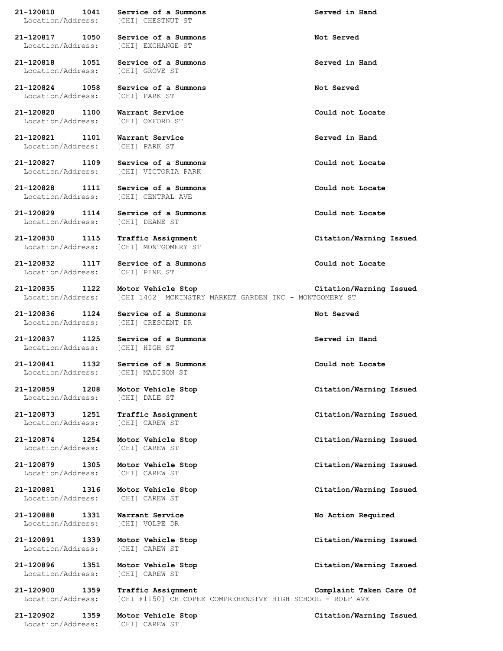Location/Address: [CHI] EXCHANGE ST

**21-120818 1051 Service of a Summons Served in Hand** Location/Address: [CHI] GROVE ST

**21-120824 1058 Service of a Summons Not Served** Location/Address:

**21-120820 1100 Warrant Service Could not Locate** Location/Address: [CHI] OXFORD ST

**21-120821 1101 Warrant Service Served in Hand** Location/Address: [CHI] PARK ST

**21-120827 1109 Service of a Summons Could not Locate**

**21-120829 1114 Service of a Summons Could not Locate**

**21-120832 1117 Service of a Summons Could not Locate** Location/Address: [CHI] PINE ST

**21-120836 1124 Service of a Summons Not Served**

Location/Address: [CHI] DALE ST

Location/Address: [CHI] CAREW ST

Location/Address: [CHI] CAREW ST

Location/Address: [CHI] CAREW ST

**21-120881 1316 Motor Vehicle Stop Citation/Warning Issued** Location/Address: [CHI] CAREW ST

**21-120888 1331 Warrant Service No Action Required** Location/Address: [CHI] VOLPE DR

**21-120891 1339 Motor Vehicle Stop Citation/Warning Issued** Location/Address: [CHI] CAREW ST

**21-120896 1351 Motor Vehicle Stop Citation/Warning Issued** Location/Address: [CHI] CAREW ST

**21-120902 1359 Motor Vehicle Stop Citation/Warning Issued** Location/Address: [CHI] CAREW ST

**21-120810 1041 Service of a Summons Served in Hand** Location/Address: [CHI] CHESTNUT ST

**21-120817 1050 Service of a Summons Not Served**

Location/Address: [CHI] VICTORIA PARK

**21-120828 1111 Service of a Summons Could not Locate** Location/Address: [CHI] CENTRAL AVE

Location/Address: [CHI] DEANE ST

Location/Address: [CHI] MONTGOMERY ST

**21-120835 1122 Motor Vehicle Stop Citation/Warning Issued** Location/Address: [CHI 1402] MCKINSTRY MARKET GARDEN INC - MONTGOMERY ST

Location/Address: [CHI] CRESCENT DR

**21-120837 1125 Service of a Summons Served in Hand** Location/Address: [CHI] HIGH ST

**21-120841 1132 Service of a Summons Could not Locate** Location/Address: [CHI] MADISON ST

**21-120879 1305 Motor Vehicle Stop Citation/Warning Issued**

**21-120900 1359 Traffic Assignment Complaint Taken Care Of** Location/Address: [CHI F1150] CHICOPEE COMPREHENSIVE HIGH SCHOOL - ROLF AVE

**21-120830 1115 Traffic Assignment Citation/Warning Issued**

**21-120859 1208 Motor Vehicle Stop Citation/Warning Issued**

**21-120873 1251 Traffic Assignment Citation/Warning Issued**

**21-120874 1254 Motor Vehicle Stop Citation/Warning Issued**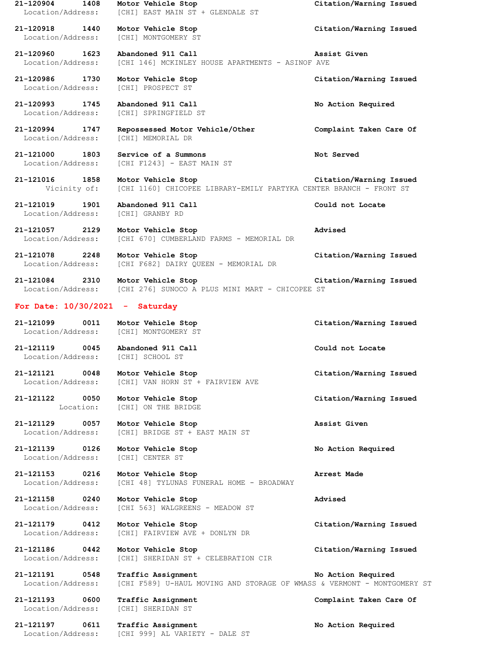| 21-120904<br>1408<br>Location/Address: | Motor Vehicle Stop<br>[CHI] EAST MAIN ST + GLENDALE ST                                               | Citation/Warning Issued |
|----------------------------------------|------------------------------------------------------------------------------------------------------|-------------------------|
| 21-120918 1440<br>Location/Address:    | Motor Vehicle Stop<br>[CHI] MONTGOMERY ST                                                            | Citation/Warning Issued |
| 21-120960 1623<br>Location/Address:    | Abandoned 911 Call<br>[CHI 146] MCKINLEY HOUSE APARTMENTS - ASINOF AVE                               | Assist Given            |
| 21-120986 1730<br>Location/Address:    | Motor Vehicle Stop<br>[CHI] PROSPECT ST                                                              | Citation/Warning Issued |
| 21-120993 1745<br>Location/Address:    | Abandoned 911 Call<br>[CHI] SPRINGFIELD ST                                                           | No Action Required      |
| 21-120994 1747<br>Location/Address:    | Repossessed Motor Vehicle/Other<br>[CHI] MEMORIAL DR                                                 | Complaint Taken Care Of |
| 21-121000 1803<br>Location/Address:    | Service of a Summons<br>[CHI F1243] - EAST MAIN ST                                                   | Not Served              |
| 21-121016<br>1858<br>Vicinity of:      | Motor Vehicle Stop<br>[CHI 1160] CHICOPEE LIBRARY-EMILY PARTYKA CENTER BRANCH - FRONT ST             | Citation/Warning Issued |
| 21-121019<br>1901<br>Location/Address: | Abandoned 911 Call<br>[CHI] GRANBY RD                                                                | Could not Locate        |
| 21-121057<br>2129<br>Location/Address: | Motor Vehicle Stop<br>[CHI 670] CUMBERLAND FARMS - MEMORIAL DR                                       | Advised                 |
| 21-121078 2248<br>Location/Address:    | Motor Vehicle Stop<br>[CHI F682] DAIRY QUEEN - MEMORIAL DR                                           | Citation/Warning Issued |
| 21-121084<br>2310<br>Location/Address: | Motor Vehicle Stop<br>[CHI 276] SUNOCO A PLUS MINI MART - CHICOPEE ST                                | Citation/Warning Issued |
| For Date: $10/30/2021$ - Saturday      |                                                                                                      |                         |
| 21-121099<br>0011<br>Location/Address: | Motor Vehicle Stop<br>[CHI] MONTGOMERY ST                                                            | Citation/Warning Issued |
| 21-121119<br>0045<br>Location/Address: | Abandoned 911 Call<br>[CHI] SCHOOL ST                                                                | Could not Locate        |
| 0048<br>21-121121<br>Location/Address: | Motor Vehicle Stop<br>[CHI] VAN HORN ST + FAIRVIEW AVE                                               | Citation/Warning Issued |
| 21-121122 0050<br>Location:            | Motor Vehicle Stop<br>[CHI] ON THE BRIDGE                                                            | Citation/Warning Issued |
| 21-121129<br>0057<br>Location/Address: | Motor Vehicle Stop<br>[CHI] BRIDGE ST + EAST MAIN ST                                                 | Assist Given            |
| 21-121139 0126<br>Location/Address:    | Motor Vehicle Stop<br>[CHI] CENTER ST                                                                | No Action Required      |
| 21-121153 0216<br>Location/Address:    | Motor Vehicle Stop<br>[CHI 48] TYLUNAS FUNERAL HOME - BROADWAY                                       | Arrest Made             |
| 21-121158<br>0240<br>Location/Address: | Motor Vehicle Stop<br>[CHI 563] WALGREENS - MEADOW ST                                                | Advised                 |
| 21-121179 0412<br>Location/Address:    | Motor Vehicle Stop<br>[CHI] FAIRVIEW AVE + DONLYN DR                                                 | Citation/Warning Issued |
| 21-121186<br>0442<br>Location/Address: | Motor Vehicle Stop<br>[CHI] SHERIDAN ST + CELEBRATION CIR                                            | Citation/Warning Issued |
| 21-121191 0548<br>Location/Address:    | <b>Traffic Assignment</b><br>[CHI F589] U-HAUL MOVING AND STORAGE OF WMASS & VERMONT - MONTGOMERY ST | No Action Required      |
| 21-121193<br>0600<br>Location/Address: | Traffic Assignment<br>[CHI] SHERIDAN ST                                                              | Complaint Taken Care Of |
| 21-121197<br>0611<br>Location/Address: | Traffic Assignment<br>[CHI 999] AL VARIETY - DALE ST                                                 | No Action Required      |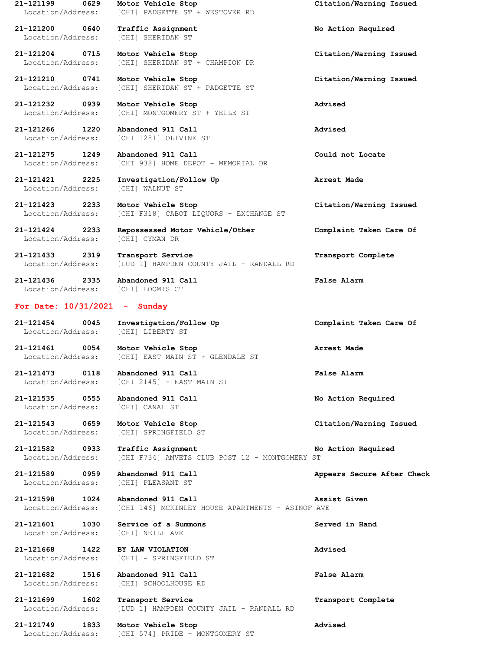**21-121200 0640 Traffic Assignment No Action Required** Location/Address: [CHI] SHERIDAN ST

Location/Address: [CHI] WALNUT ST

Location/Address: [CHI F318] CABOT LIQUORS - EXCHANGE ST

Location/Address: [CHI] CYMAN DR

**21-121433 2319 Transport Service Transport Complete** Location/Address: [LUD 1] HAMPDEN COUNTY JAIL - RANDALL RD

**21-121436 2335 Abandoned 911 Call False Alarm** Location/Address: [CHI] LOOMIS CT

## **For Date: 10/31/2021 - Sunday**

**21-121454 0045 Investigation/Follow Up Complaint Taken Care Of** Location/Address: [CHI] LIBERTY ST

**21-121461 0054 Motor Vehicle Stop Arrest Made** Location/Address: [CHI] EAST MAIN ST + GLENDALE ST

**21-121473 0118 Abandoned 911 Call False Alarm** Location/Address: [CHI 2145] - EAST MAIN ST

Location/Address: [CHI] CANAL ST

Location/Address: [CHI] SPRINGFIELD ST

Location/Address: [CHI F734] AMVETS CLUB POST 12 - MONTGOMERY ST

Location/Address: [CHI] PLEASANT ST

**21-121601 1030 Service of a Summons Served in Hand**

**21-121199 0629 Motor Vehicle Stop Citation/Warning Issued** Location/Address: [CHI] PADGETTE ST + WESTOVER RD

**21-121204 0715 Motor Vehicle Stop Citation/Warning Issued** Location/Address: [CHI] SHERIDAN ST + CHAMPION DR

**21-121210 0741 Motor Vehicle Stop Citation/Warning Issued** Location/Address: [CHI] SHERIDAN ST + PADGETTE ST

**21-121232 0939 Motor Vehicle Stop Advised** [CHI] MONTGOMERY ST + YELLE ST

**21-121266 1220 Abandoned 911 Call Advised** Location/Address: [CHI 1281] OLIVINE ST

**21-121275 1249 Abandoned 911 Call Could not Locate** Location/Address: [CHI 938] HOME DEPOT - MEMORIAL DR

**21-121421 2225 Investigation/Follow Up Arrest Made**

**21-121423 2233 Motor Vehicle Stop Citation/Warning Issued**

**21-121424 2233 Repossessed Motor Vehicle/Other Complaint Taken Care Of**

**21-121535 0555 Abandoned 911 Call No Action Required**

**21-121543 0659 Motor Vehicle Stop Citation/Warning Issued**

**21-121582 0933 Traffic Assignment No Action Required**

**21-121589 0959 Abandoned 911 Call Appears Secure After Check**

**21-121598 1024 Abandoned 911 Call Assist Given** Location/Address: [CHI 146] MCKINLEY HOUSE APARTMENTS - ASINOF AVE

Location/Address: [CHI] NEILL AVE

**21-121668 1422 BY LAW VIOLATION Advised** Location/Address: [CHI] - SPRINGFIELD ST

**21-121682 1516 Abandoned 911 Call False Alarm** Location/Address: [CHI] SCHOOLHOUSE RD

**21-121699 1602 Transport Service Transport Complete** Location/Address: [LUD 1] HAMPDEN COUNTY JAIL - RANDALL RD

**21-121749 1833 Motor Vehicle Stop Advised** Location/Address: [CHI 574] PRIDE - MONTGOMERY ST